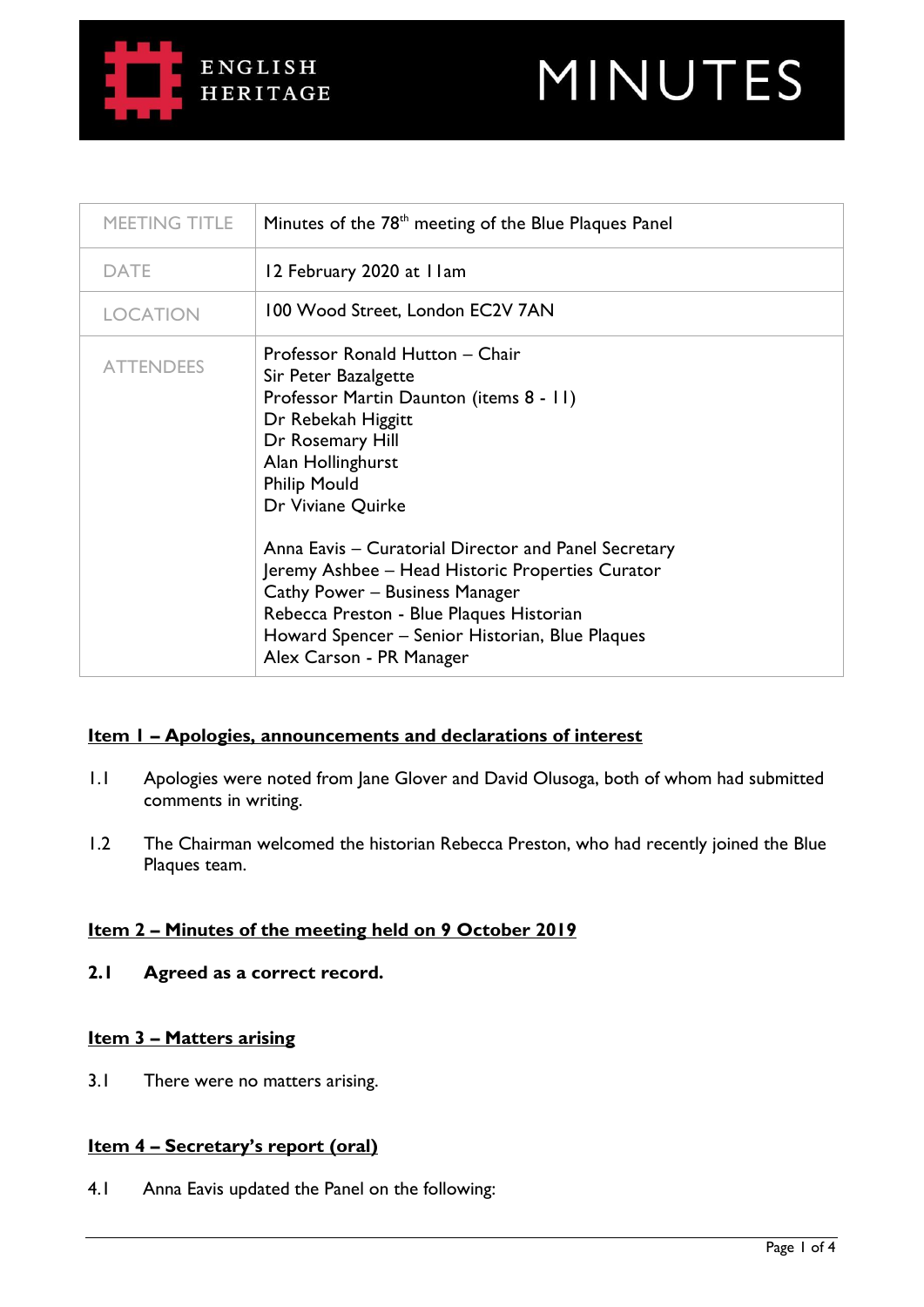



| MEETING TITLE    | Minutes of the 78 <sup>th</sup> meeting of the Blue Plaques Panel                                                                                                                                                                                                                                                                                                                                                                                                                      |
|------------------|----------------------------------------------------------------------------------------------------------------------------------------------------------------------------------------------------------------------------------------------------------------------------------------------------------------------------------------------------------------------------------------------------------------------------------------------------------------------------------------|
| <b>DATE</b>      | 12 February 2020 at I Iam                                                                                                                                                                                                                                                                                                                                                                                                                                                              |
| <b>LOCATION</b>  | 100 Wood Street, London EC2V 7AN                                                                                                                                                                                                                                                                                                                                                                                                                                                       |
| <b>ATTENDEES</b> | Professor Ronald Hutton - Chair<br>Sir Peter Bazalgette<br>Professor Martin Daunton (items 8 - 11)<br>Dr Rebekah Higgitt<br>Dr Rosemary Hill<br>Alan Hollinghurst<br><b>Philip Mould</b><br>Dr Viviane Quirke<br>Anna Eavis – Curatorial Director and Panel Secretary<br>Jeremy Ashbee – Head Historic Properties Curator<br>Cathy Power - Business Manager<br>Rebecca Preston - Blue Plaques Historian<br>Howard Spencer – Senior Historian, Blue Plaques<br>Alex Carson - PR Manager |

## **Item 1 – Apologies, announcements and declarations of interest**

- 1.1 Apologies were noted from Jane Glover and David Olusoga, both of whom had submitted comments in writing.
- 1.2 The Chairman welcomed the historian Rebecca Preston, who had recently joined the Blue Plaques team.

#### **Item 2 – Minutes of the meeting held on 9 October 2019**

**2.1 Agreed as a correct record.**

#### **Item 3 – Matters arising**

3.1 There were no matters arising.

### **Item 4 – Secretary's report (oral)**

4.1 Anna Eavis updated the Panel on the following: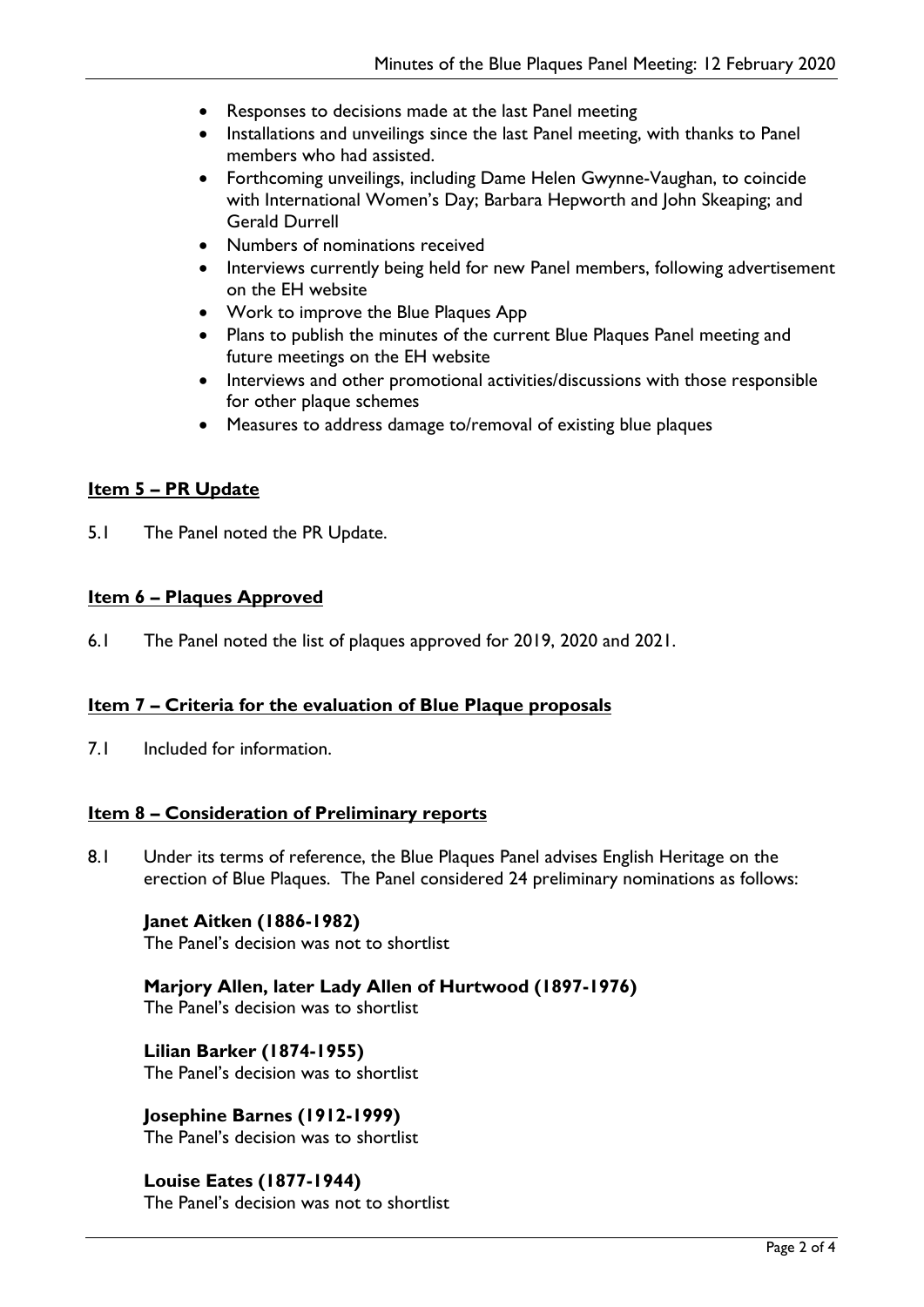- Responses to decisions made at the last Panel meeting
- Installations and unveilings since the last Panel meeting, with thanks to Panel members who had assisted.
- Forthcoming unveilings, including Dame Helen Gwynne-Vaughan, to coincide with International Women's Day; Barbara Hepworth and John Skeaping; and Gerald Durrell
- Numbers of nominations received
- Interviews currently being held for new Panel members, following advertisement on the EH website
- Work to improve the Blue Plaques App
- Plans to publish the minutes of the current Blue Plaques Panel meeting and future meetings on the EH website
- Interviews and other promotional activities/discussions with those responsible for other plaque schemes
- Measures to address damage to/removal of existing blue plaques

# **Item 5 – PR Update**

5.1 The Panel noted the PR Update.

# **Item 6 – Plaques Approved**

6.1 The Panel noted the list of plaques approved for 2019, 2020 and 2021.

## **Item 7 – Criteria for the evaluation of Blue Plaque proposals**

7.1 Included for information.

## **Item 8 – Consideration of Preliminary reports**

8.1 Under its terms of reference, the Blue Plaques Panel advises English Heritage on the erection of Blue Plaques. The Panel considered 24 preliminary nominations as follows:

#### **Janet Aitken (1886-1982)**

The Panel's decision was not to shortlist

# **Marjory Allen, later Lady Allen of Hurtwood (1897-1976)**

The Panel's decision was to shortlist

**Lilian Barker (1874-1955)** The Panel's decision was to shortlist

**Josephine Barnes (1912-1999)** The Panel's decision was to shortlist

## **Louise Eates (1877-1944)**

The Panel's decision was not to shortlist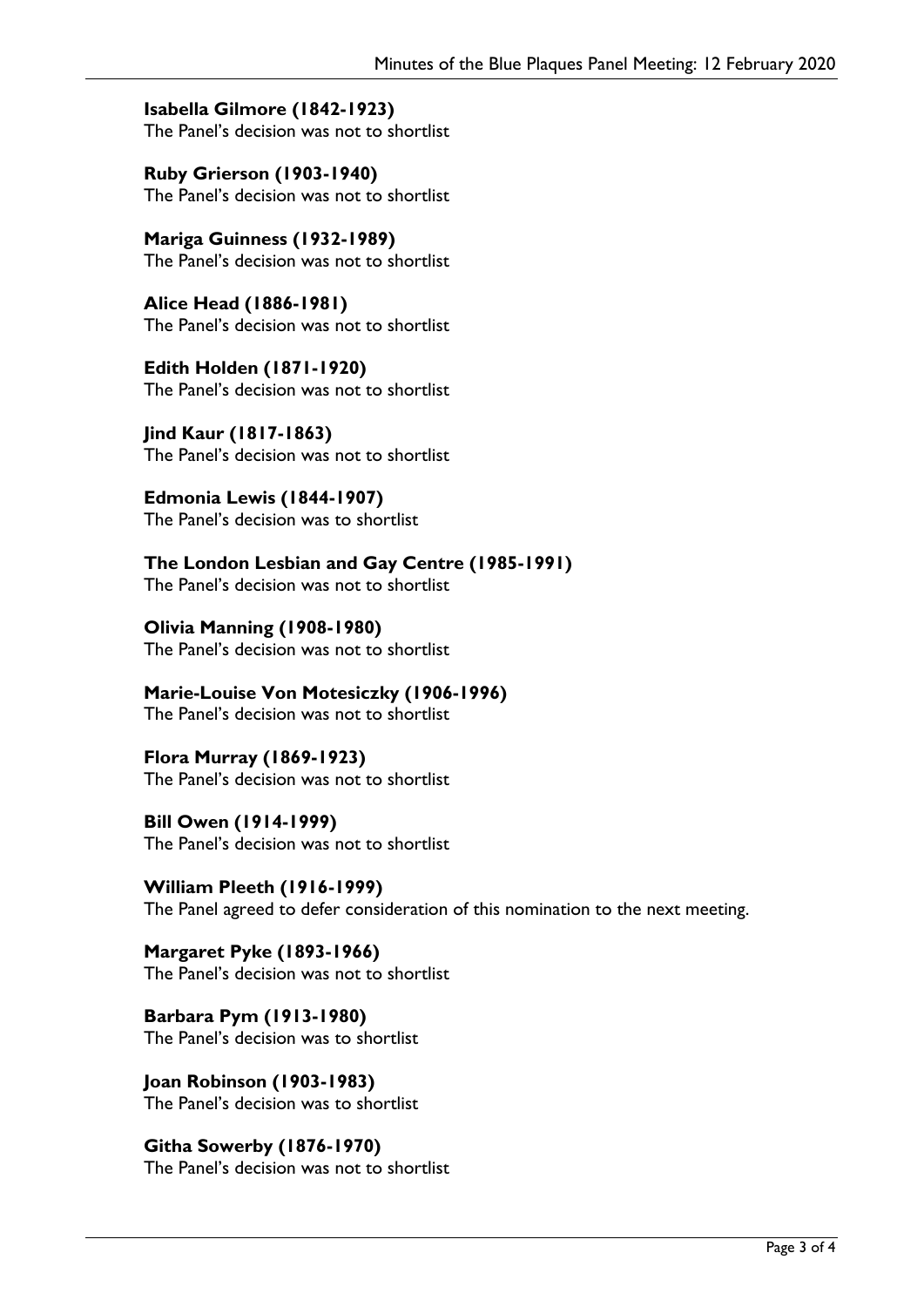**Isabella Gilmore (1842-1923)** The Panel's decision was not to shortlist

**Ruby Grierson (1903-1940)** The Panel's decision was not to shortlist

**Mariga Guinness (1932-1989)** The Panel's decision was not to shortlist

**Alice Head (1886-1981)** The Panel's decision was not to shortlist

**Edith Holden (1871-1920)** The Panel's decision was not to shortlist

**Jind Kaur (1817-1863)** The Panel's decision was not to shortlist

**Edmonia Lewis (1844-1907)** The Panel's decision was to shortlist

**The London Lesbian and Gay Centre (1985-1991)**

The Panel's decision was not to shortlist

**Olivia Manning (1908-1980)** The Panel's decision was not to shortlist

**Marie-Louise Von Motesiczky (1906-1996)** The Panel's decision was not to shortlist

**Flora Murray (1869-1923)** The Panel's decision was not to shortlist

**Bill Owen (1914-1999)** The Panel's decision was not to shortlist

**William Pleeth (1916-1999)** The Panel agreed to defer consideration of this nomination to the next meeting.

**Margaret Pyke (1893-1966)** The Panel's decision was not to shortlist

**Barbara Pym (1913-1980)** The Panel's decision was to shortlist

**Joan Robinson (1903-1983)** The Panel's decision was to shortlist

**Githa Sowerby (1876-1970)** The Panel's decision was not to shortlist